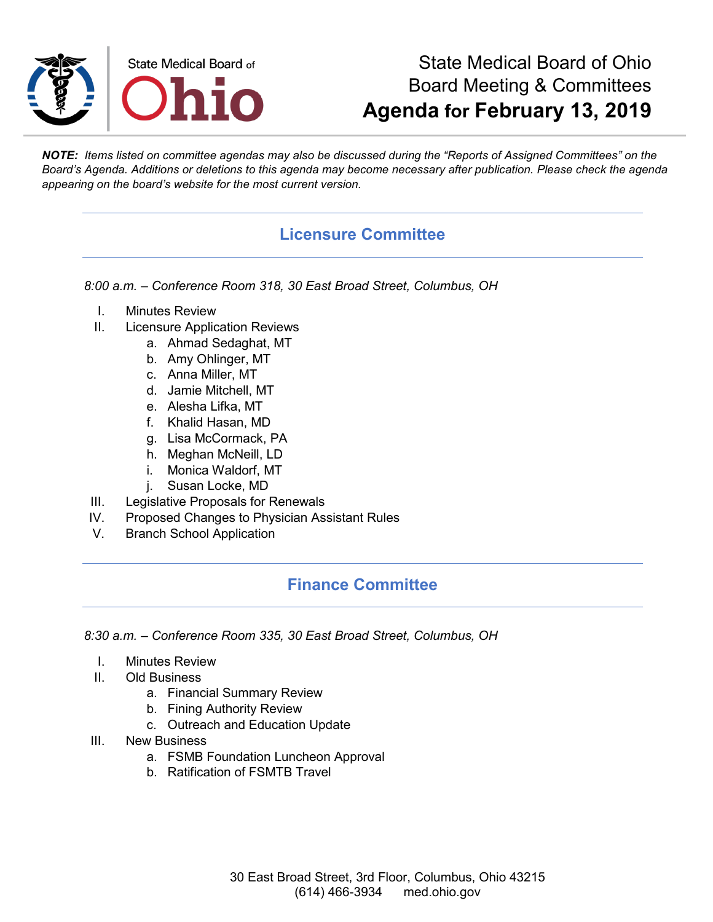

# State Medical Board of Ohio Board Meeting & Committees **Agenda for February 13, 2019**

*NOTE: Items listed on committee agendas may also be discussed during the "Reports of Assigned Committees" on the Board's Agenda. Additions or deletions to this agenda may become necessary after publication. Please check the agenda appearing on the board's website for the most current version.*

#### **Licensure Committee**

*8:00 a.m. – Conference Room 318, 30 East Broad Street, Columbus, OH*

- I. Minutes Review
- II. Licensure Application Reviews
	- a. Ahmad Sedaghat, MT
	- b. Amy Ohlinger, MT
	- c. Anna Miller, MT
	- d. Jamie Mitchell, MT
	- e. Alesha Lifka, MT
	- f. Khalid Hasan, MD
	- g. Lisa McCormack, PA
	- h. Meghan McNeill, LD
	- i. Monica Waldorf, MT
	- j. Susan Locke, MD
- III. Legislative Proposals for Renewals
- IV. Proposed Changes to Physician Assistant Rules
- V. Branch School Application

#### **Finance Committee**

*8:30 a.m. – Conference Room 335, 30 East Broad Street, Columbus, OH*

- I. Minutes Review
- II. Old Business
	- a. Financial Summary Review
	- b. Fining Authority Review
	- c. Outreach and Education Update
- III. New Business
	- a. FSMB Foundation Luncheon Approval
	- b. Ratification of FSMTB Travel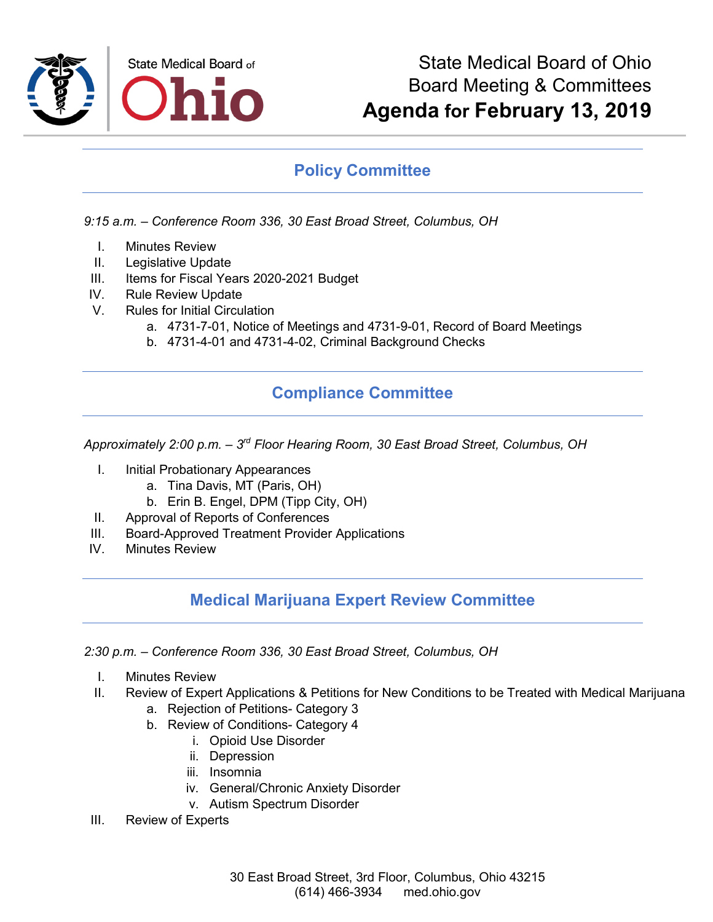

### **Policy Committee**

*9:15 a.m. – Conference Room 336, 30 East Broad Street, Columbus, OH*

- I. Minutes Review
- II. Legislative Update
- III. Items for Fiscal Years 2020-2021 Budget
- IV. Rule Review Update
- V. Rules for Initial Circulation
	- a. 4731-7-01, Notice of Meetings and 4731-9-01, Record of Board Meetings
	- b. 4731-4-01 and 4731-4-02, Criminal Background Checks

## **Compliance Committee**

*Approximately 2:00 p.m. – 3rd Floor Hearing Room, 30 East Broad Street, Columbus, OH*

- I. Initial Probationary Appearances
	- a. Tina Davis, MT (Paris, OH)
	- b. Erin B. Engel, DPM (Tipp City, OH)
- II. Approval of Reports of Conferences
- III. Board-Approved Treatment Provider Applications
- IV. Minutes Review

#### **Medical Marijuana Expert Review Committee**

*2:30 p.m. – Conference Room 336, 30 East Broad Street, Columbus, OH*

- I. Minutes Review
- II. Review of Expert Applications & Petitions for New Conditions to be Treated with Medical Marijuana
	- a. Rejection of Petitions- Category 3
	- b. Review of Conditions- Category 4
		- i. Opioid Use Disorder
		- ii. Depression
		- iii. Insomnia
		- iv. General/Chronic Anxiety Disorder
		- v. Autism Spectrum Disorder
- III. Review of Experts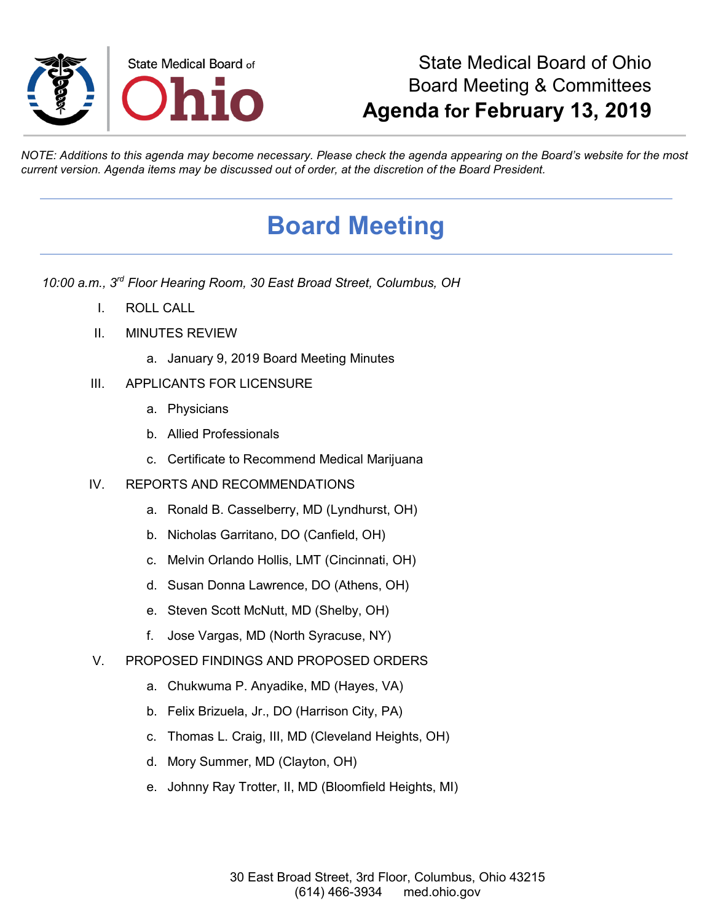

# State Medical Board of Ohio Board Meeting & Committees **Agenda for February 13, 2019**

*NOTE: Additions to this agenda may become necessary. Please check the agenda appearing on the Board's website for the most current version. Agenda items may be discussed out of order, at the discretion of the Board President.*

# **Board Meeting**

*10:00 a.m., 3rd Floor Hearing Room, 30 East Broad Street, Columbus, OH*

- I. ROLL CALL
- II. MINUTES REVIEW
	- a. January 9, 2019 Board Meeting Minutes

#### III. APPLICANTS FOR LICENSURE

- a. Physicians
- b. Allied Professionals
- c. Certificate to Recommend Medical Marijuana
- IV. REPORTS AND RECOMMENDATIONS
	- a. Ronald B. Casselberry, MD (Lyndhurst, OH)
	- b. Nicholas Garritano, DO (Canfield, OH)
	- c. Melvin Orlando Hollis, LMT (Cincinnati, OH)
	- d. Susan Donna Lawrence, DO (Athens, OH)
	- e. Steven Scott McNutt, MD (Shelby, OH)
	- f. Jose Vargas, MD (North Syracuse, NY)
- V. PROPOSED FINDINGS AND PROPOSED ORDERS
	- a. Chukwuma P. Anyadike, MD (Hayes, VA)
	- b. Felix Brizuela, Jr., DO (Harrison City, PA)
	- c. Thomas L. Craig, III, MD (Cleveland Heights, OH)
	- d. Mory Summer, MD (Clayton, OH)
	- e. Johnny Ray Trotter, II, MD (Bloomfield Heights, MI)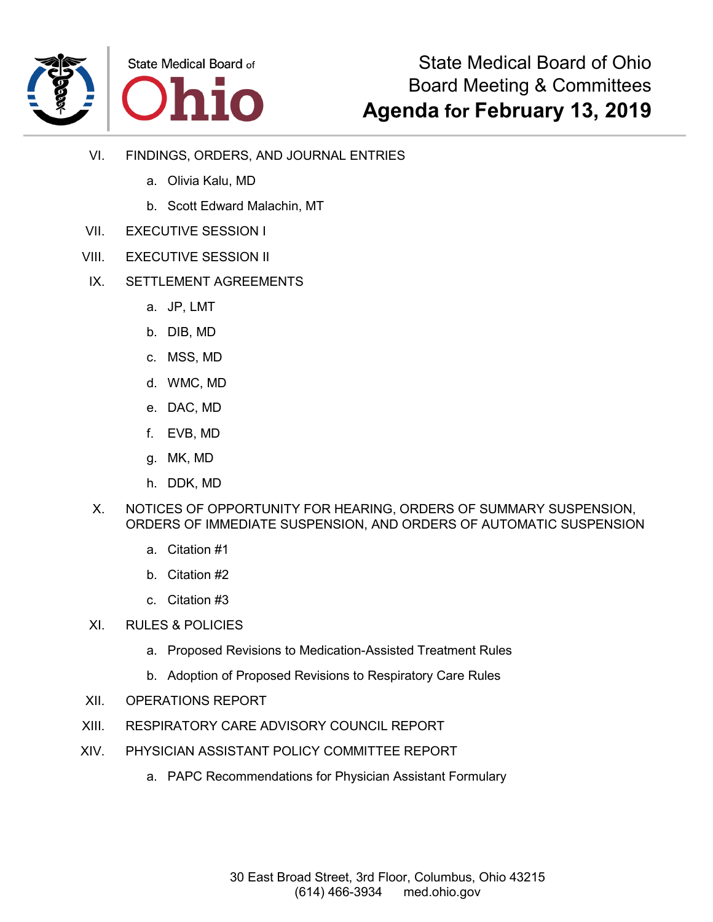

- VI. FINDINGS, ORDERS, AND JOURNAL ENTRIES
	- a. Olivia Kalu, MD
	- b. Scott Edward Malachin, MT
- VII. EXECUTIVE SESSION I
- VIII. EXECUTIVE SESSION II
- IX. SETTLEMENT AGREEMENTS
	- a. JP, LMT
	- b. DIB, MD
	- c. MSS, MD
	- d. WMC, MD
	- e. DAC, MD
	- f. EVB, MD
	- g. MK, MD
	- h. DDK, MD
	- X. NOTICES OF OPPORTUNITY FOR HEARING, ORDERS OF SUMMARY SUSPENSION, ORDERS OF IMMEDIATE SUSPENSION, AND ORDERS OF AUTOMATIC SUSPENSION
		- a. Citation #1
		- b. Citation #2
		- c. Citation #3
- XI. RULES & POLICIES
	- a. Proposed Revisions to Medication-Assisted Treatment Rules
	- b. Adoption of Proposed Revisions to Respiratory Care Rules
- XII. OPERATIONS REPORT
- XIII. RESPIRATORY CARE ADVISORY COUNCIL REPORT
- XIV. PHYSICIAN ASSISTANT POLICY COMMITTEE REPORT
	- a. PAPC Recommendations for Physician Assistant Formulary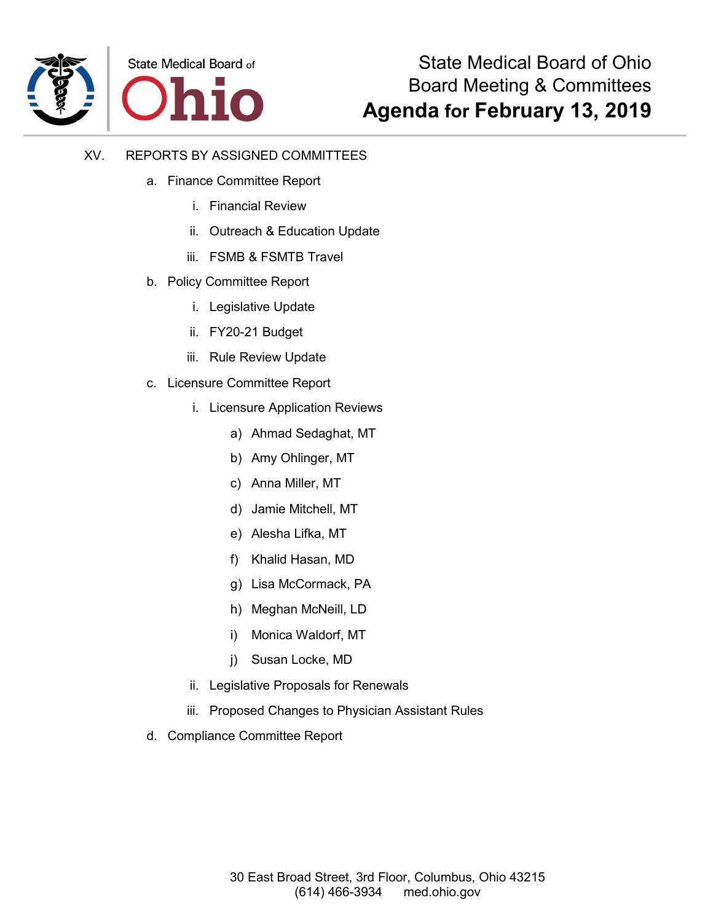

- XV. REPORTS BY ASSIGNED COMMITTEES
	- a. Finance Committee Report
		- i. Financial Review
		- ii. Outreach & Education Update
		- iii. FSMB & FSMTB Travel
	- b. Policy Committee Report
		- i. Legislative Update
		- ii. FY20-21 Budget
		- iii. Rule Review Update
	- c. Licensure Committee Report
		- i. Licensure Application Reviews
			- a) Ahmad Sedaghat, MT
			- b) Amy Ohlinger, MT
			- c) Anna Miller, MT
			- d) Jamie Mitchell, MT
			- e) Alesha Lifka, MT
			- f) Khalid Hasan, MD
			- g) Lisa McCormack, PA
			- h) Meghan McNeill, LD
			- i) Monica Waldorf, MT
			- j) Susan Locke, MD
		- ii. Legislative Proposals for Renewals
		- iii. Proposed Changes to Physician Assistant Rules
	- d. Compliance Committee Report